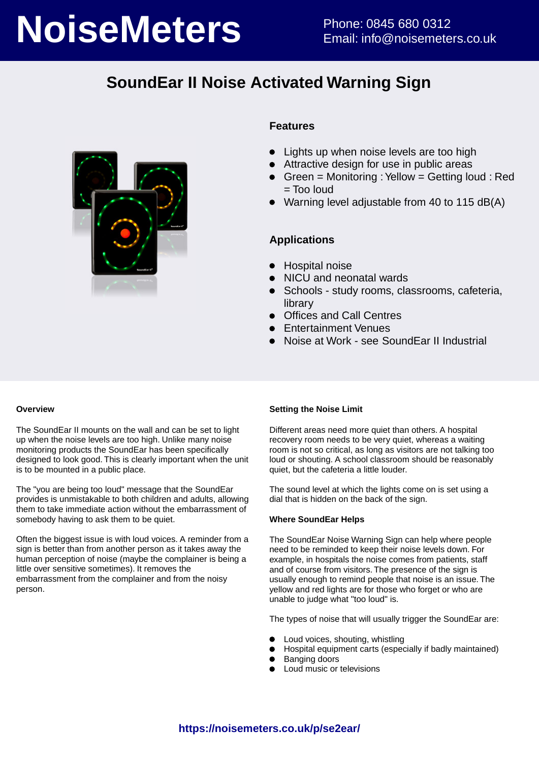# **NoiseMeters** Phone: 0845 680 0312

# **SoundEar II Noise Activated Warning Sign**



### **Features**

- Lights up when noise levels are too high
- Attractive design for use in public areas
- Green = Monitoring : Yellow = Getting loud : Red = Too loud
- Warning level adjustable from 40 to 115 dB(A)

### **Applications**

- Hospital noise
- NICU and neonatal wards  $\bullet$
- $\bullet$ Schools - study rooms, classrooms, cafeteria, library
- Offices and Call Centres  $\bullet$
- Entertainment Venues
- Noise at Work see SoundEar II Industrial

### **Overview**

The SoundEar II mounts on the wall and can be set to light up when the noise levels are too high. Unlike many noise monitoring products the SoundEar has been specifically designed to look good. This is clearly important when the unit is to be mounted in a public place.

The "you are being too loud" message that the SoundEar provides is unmistakable to both children and adults, allowing them to take immediate action without the embarrassment of somebody having to ask them to be quiet.

Often the biggest issue is with loud voices. A reminder from a sign is better than from another person as it takes away the human perception of noise (maybe the complainer is being a little over sensitive sometimes). It removes the embarrassment from the complainer and from the noisy person.

### **Setting the Noise Limit**

Different areas need more quiet than others. A hospital recovery room needs to be very quiet, whereas a waiting room is not so critical, as long as visitors are not talking too loud or shouting. A school classroom should be reasonably quiet, but the cafeteria a little louder.

The sound level at which the lights come on is set using a dial that is hidden on the back of the sign.

### **Where SoundEar Helps**

The SoundEar Noise Warning Sign can help where people need to be reminded to keep their noise levels down. For example, in hospitals the noise comes from patients, staff and of course from visitors. The presence of the sign is usually enough to remind people that noise is an issue. The yellow and red lights are for those who forget or who are unable to judge what "too loud" is.

The types of noise that will usually trigger the SoundEar are:

- Loud voices, shouting, whistling
- Hospital equipment carts (especially if badly maintained)
- Banging doors
- Loud music or televisions